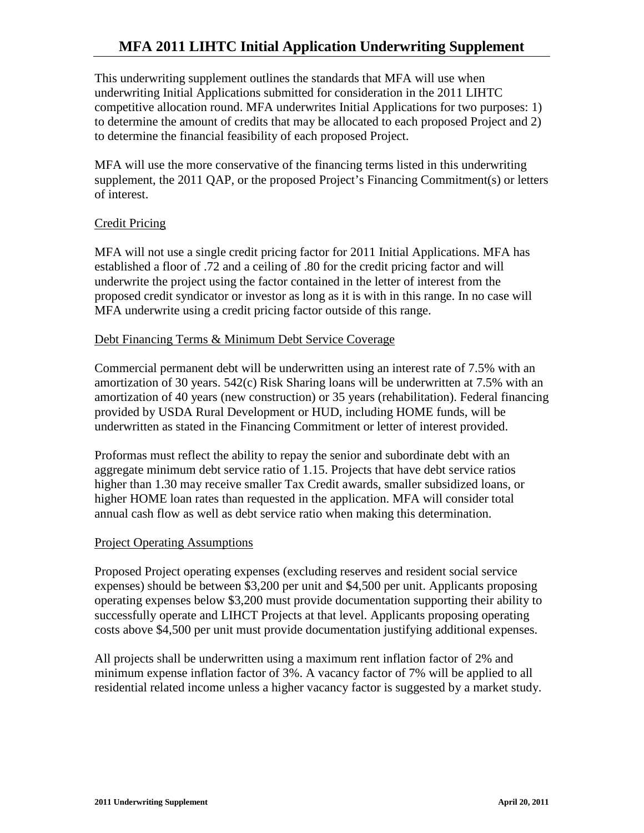# **MFA 2011 LIHTC Initial Application Underwriting Supplement**

This underwriting supplement outlines the standards that MFA will use when underwriting Initial Applications submitted for consideration in the 2011 LIHTC competitive allocation round. MFA underwrites Initial Applications for two purposes: 1) to determine the amount of credits that may be allocated to each proposed Project and 2) to determine the financial feasibility of each proposed Project.

MFA will use the more conservative of the financing terms listed in this underwriting supplement, the 2011 QAP, or the proposed Project's Financing Commitment(s) or letters of interest.

### Credit Pricing

MFA will not use a single credit pricing factor for 2011 Initial Applications. MFA has established a floor of .72 and a ceiling of .80 for the credit pricing factor and will underwrite the project using the factor contained in the letter of interest from the proposed credit syndicator or investor as long as it is with in this range. In no case will MFA underwrite using a credit pricing factor outside of this range.

#### Debt Financing Terms & Minimum Debt Service Coverage

Commercial permanent debt will be underwritten using an interest rate of 7.5% with an amortization of 30 years. 542(c) Risk Sharing loans will be underwritten at 7.5% with an amortization of 40 years (new construction) or 35 years (rehabilitation). Federal financing provided by USDA Rural Development or HUD, including HOME funds, will be underwritten as stated in the Financing Commitment or letter of interest provided.

Proformas must reflect the ability to repay the senior and subordinate debt with an aggregate minimum debt service ratio of 1.15. Projects that have debt service ratios higher than 1.30 may receive smaller Tax Credit awards, smaller subsidized loans, or higher HOME loan rates than requested in the application. MFA will consider total annual cash flow as well as debt service ratio when making this determination.

#### Project Operating Assumptions

Proposed Project operating expenses (excluding reserves and resident social service expenses) should be between \$3,200 per unit and \$4,500 per unit. Applicants proposing operating expenses below \$3,200 must provide documentation supporting their ability to successfully operate and LIHCT Projects at that level. Applicants proposing operating costs above \$4,500 per unit must provide documentation justifying additional expenses.

All projects shall be underwritten using a maximum rent inflation factor of 2% and minimum expense inflation factor of 3%. A vacancy factor of 7% will be applied to all residential related income unless a higher vacancy factor is suggested by a market study.